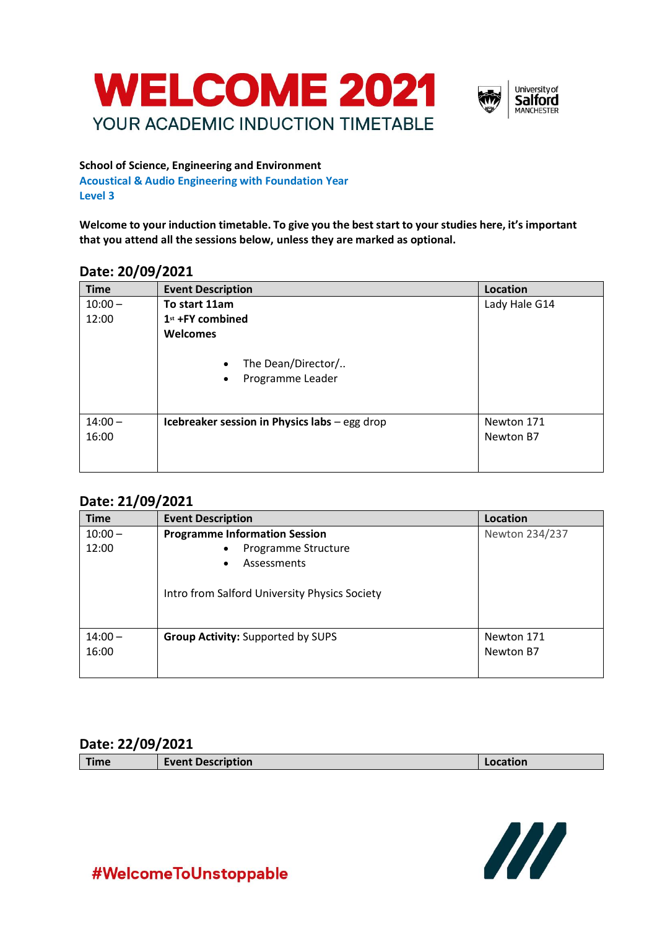



#### **School of Science, Engineering and Environment**

**Acoustical & Audio Engineering with Foundation Year Level 3**

**Welcome to your induction timetable. To give you the best start to your studies here, it's important that you attend all the sessions below, unless they are marked as optional.**

#### **Date: 20/09/2021**

| <b>Time</b> | <b>Event Description</b>                                         | Location      |
|-------------|------------------------------------------------------------------|---------------|
| $10:00 -$   | To start 11am                                                    | Lady Hale G14 |
| 12:00       | $1st$ +FY combined                                               |               |
|             | Welcomes                                                         |               |
|             | The Dean/Director/<br>$\bullet$<br>Programme Leader<br>$\bullet$ |               |
| $14:00 -$   | Icebreaker session in Physics labs - egg drop                    | Newton 171    |
| 16:00       |                                                                  | Newton B7     |
|             |                                                                  |               |

### **Date: 21/09/2021**

| <b>Time</b> | <b>Event Description</b>                      | Location       |
|-------------|-----------------------------------------------|----------------|
| $10:00 -$   | <b>Programme Information Session</b>          | Newton 234/237 |
| 12:00       | Programme Structure                           |                |
|             | Assessments<br>٠                              |                |
|             | Intro from Salford University Physics Society |                |
| $14:00 -$   | <b>Group Activity: Supported by SUPS</b>      | Newton 171     |
| 16:00       |                                               | Newton B7      |
|             |                                               |                |

#### **Date: 22/09/2021**

| <b>Time</b> | <b>Event Description</b> | Location |
|-------------|--------------------------|----------|
|             |                          |          |



## #WelcomeToUnstoppable